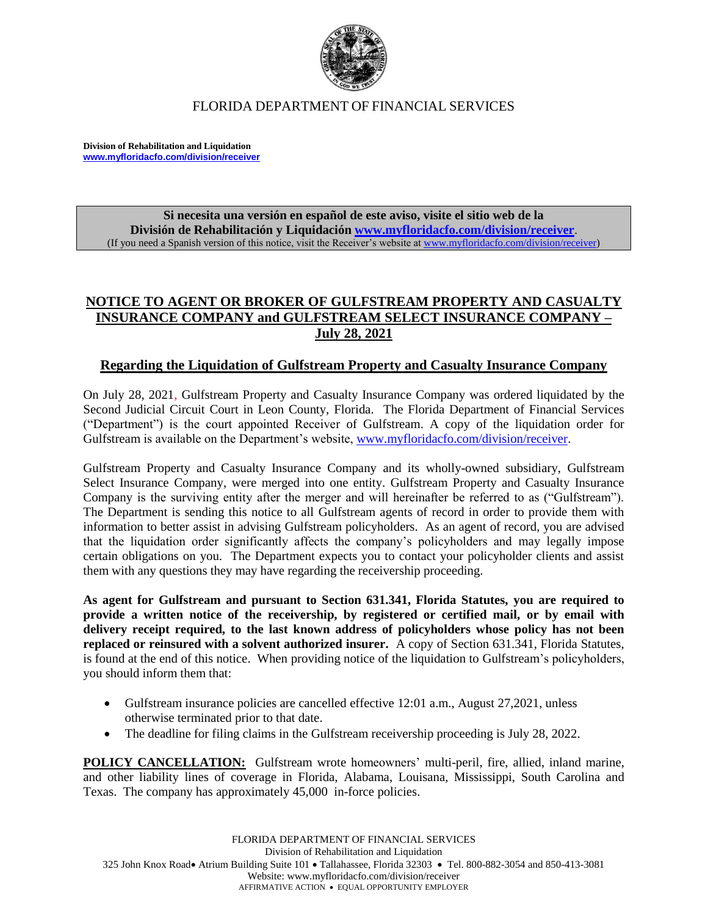

#### FLORIDA DEPARTMENT OF FINANCIAL SERVICES

**Division of Rehabilitation and Liquidation [www.myfloridacfo.com/division/receiver](http://www.myfloridacfo.com/division/receiver)**

> **Si necesita una versión en español de este aviso, visite el sitio web de la División de Rehabilitación y Liquidación [www.myfloridacfo.com/division/receiver](http://www.myfloridacfo.com/division/receiver)**. (If you need a Spanish version of this notice, visit the Receiver's website a[t www.myfloridacfo.com/division/receiver\)](http://www.myfloridacfo.com/division/receiver)

## **NOTICE TO AGENT OR BROKER OF GULFSTREAM PROPERTY AND CASUALTY INSURANCE COMPANY and GULFSTREAM SELECT INSURANCE COMPANY – July 28, 2021**

#### **Regarding the Liquidation of Gulfstream Property and Casualty Insurance Company**

On July 28, 2021, Gulfstream Property and Casualty Insurance Company was ordered liquidated by the Second Judicial Circuit Court in Leon County, Florida. The Florida Department of Financial Services ("Department") is the court appointed Receiver of Gulfstream. A copy of the liquidation order for Gulfstream is available on the Department's website, [www.myfloridacfo.com/division/receiver.](http://www.myfloridacfo.com/division/receiver)

Gulfstream Property and Casualty Insurance Company and its wholly-owned subsidiary, Gulfstream Select Insurance Company, were merged into one entity. Gulfstream Property and Casualty Insurance Company is the surviving entity after the merger and will hereinafter be referred to as ("Gulfstream"). The Department is sending this notice to all Gulfstream agents of record in order to provide them with information to better assist in advising Gulfstream policyholders. As an agent of record, you are advised that the liquidation order significantly affects the company's policyholders and may legally impose certain obligations on you. The Department expects you to contact your policyholder clients and assist them with any questions they may have regarding the receivership proceeding.

**As agent for Gulfstream and pursuant to Section 631.341, Florida Statutes, you are required to provide a written notice of the receivership, by registered or certified mail, or by email with delivery receipt required, to the last known address of policyholders whose policy has not been replaced or reinsured with a solvent authorized insurer.** A copy of Section 631.341, Florida Statutes, is found at the end of this notice. When providing notice of the liquidation to Gulfstream's policyholders, you should inform them that:

- Gulfstream insurance policies are cancelled effective 12:01 a.m., August 27,2021, unless otherwise terminated prior to that date.
- The deadline for filing claims in the Gulfstream receivership proceeding is July 28, 2022.

**POLICY CANCELLATION:** Gulfstream wrote homeowners' multi-peril, fire, allied, inland marine, and other liability lines of coverage in Florida, Alabama, Louisana, Mississippi, South Carolina and Texas. The company has approximately 45,000 in-force policies.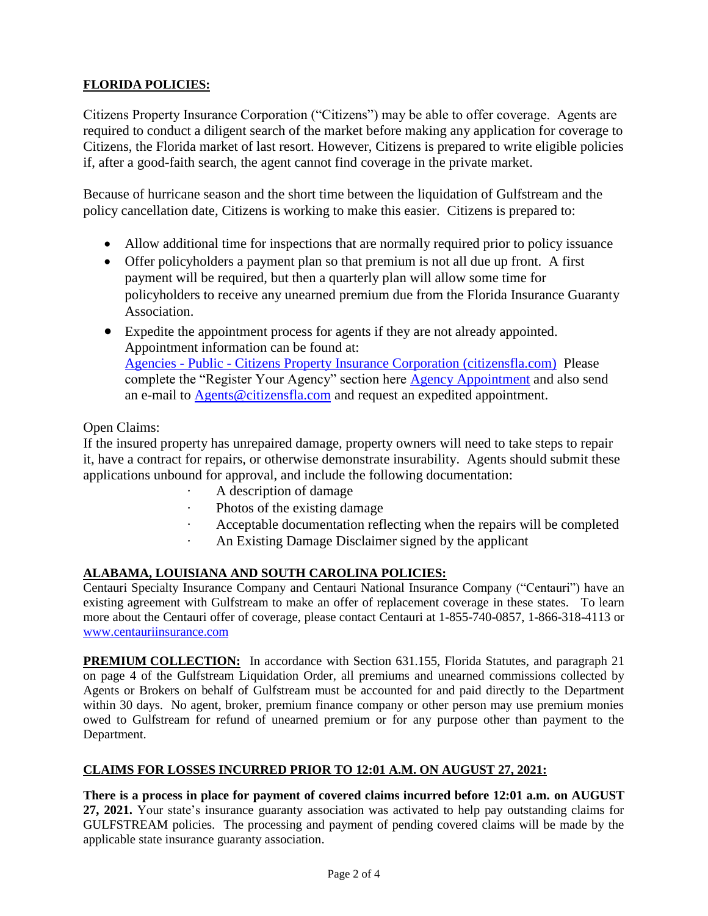## **FLORIDA POLICIES:**

Citizens Property Insurance Corporation ("Citizens") may be able to offer coverage. Agents are required to conduct a diligent search of the market before making any application for coverage to Citizens, the Florida market of last resort. However, Citizens is prepared to write eligible policies if, after a good-faith search, the agent cannot find coverage in the private market.

Because of hurricane season and the short time between the liquidation of Gulfstream and the policy cancellation date, Citizens is working to make this easier. Citizens is prepared to:

- Allow additional time for inspections that are normally required prior to policy issuance
- Offer policyholders a payment plan so that premium is not all due up front. A first payment will be required, but then a quarterly plan will allow some time for policyholders to receive any unearned premium due from the Florida Insurance Guaranty Association.
- Expedite the appointment process for agents if they are not already appointed. Appointment information can be found at: Agencies - Public - [Citizens Property Insurance Corporation \(citizensfla.com\)](https://nam11.safelinks.protection.outlook.com/?url=https%3A%2F%2Fwww.citizensfla.com%2Fagents&data=04%7C01%7CBelinda.Miller%40citizensfla.com%7C91c00143b60145cd738f08d9424a140c%7C053bba8dcebc44c2a629e41f31600aad%7C0%7C0%7C637613708188806036%7CUnknown%7CTWFpbGZsb3d8eyJWIjoiMC4wLjAwMDAiLCJQIjoiV2luMzIiLCJBTiI6Ik1haWwiLCJXVCI6Mn0%3D%7C1000&sdata=X1kCpIDHEM4zL1oewii9RkTaIUfFT1KqUdErv0OsKD8%3D&reserved=0) Please complete the "Register Your Agency" section here [Agency Appointment](https://nam11.safelinks.protection.outlook.com/?url=https%3A%2F%2Fwww.citizensfla.com%2Fagents&data=04%7C01%7CBelinda.Miller%40citizensfla.com%7C91c00143b60145cd738f08d9424a140c%7C053bba8dcebc44c2a629e41f31600aad%7C0%7C0%7C637613708188816029%7CUnknown%7CTWFpbGZsb3d8eyJWIjoiMC4wLjAwMDAiLCJQIjoiV2luMzIiLCJBTiI6Ik1haWwiLCJXVCI6Mn0%3D%7C1000&sdata=UFW6u6BRlXak9nC%2FrwAbMo%2By%2F2%2FZmvRZYOwl%2Bo6ieLI%3D&reserved=0) and also send an e-mail to [Agents@citizensfla.com](mailto:Agents@citizensfla.com) and request an expedited appointment.

#### Open Claims:

If the insured property has unrepaired damage, property owners will need to take steps to repair it, have a contract for repairs, or otherwise demonstrate insurability. Agents should submit these applications unbound for approval, and include the following documentation:

- · A description of damage
- · Photos of the existing damage
- Acceptable documentation reflecting when the repairs will be completed
- An Existing Damage Disclaimer signed by the applicant

#### **ALABAMA, LOUISIANA AND SOUTH CAROLINA POLICIES:**

Centauri Specialty Insurance Company and Centauri National Insurance Company ("Centauri") have an existing agreement with Gulfstream to make an offer of replacement coverage in these states. To learn more about the Centauri offer of coverage, please contact Centauri at 1-855-740-0857, 1-866-318-4113 or [www.centauriinsurance.com](http://www.centauriinsurance.com/)

**PREMIUM COLLECTION:** In accordance with Section 631.155, Florida Statutes, and paragraph 21 on page 4 of the Gulfstream Liquidation Order, all premiums and unearned commissions collected by Agents or Brokers on behalf of Gulfstream must be accounted for and paid directly to the Department within 30 days. No agent, broker, premium finance company or other person may use premium monies owed to Gulfstream for refund of unearned premium or for any purpose other than payment to the Department.

#### **CLAIMS FOR LOSSES INCURRED PRIOR TO 12:01 A.M. ON AUGUST 27, 2021:**

**There is a process in place for payment of covered claims incurred before 12:01 a.m. on AUGUST 27, 2021.** Your state's insurance guaranty association was activated to help pay outstanding claims for GULFSTREAM policies.The processing and payment of pending covered claims will be made by the applicable state insurance guaranty association.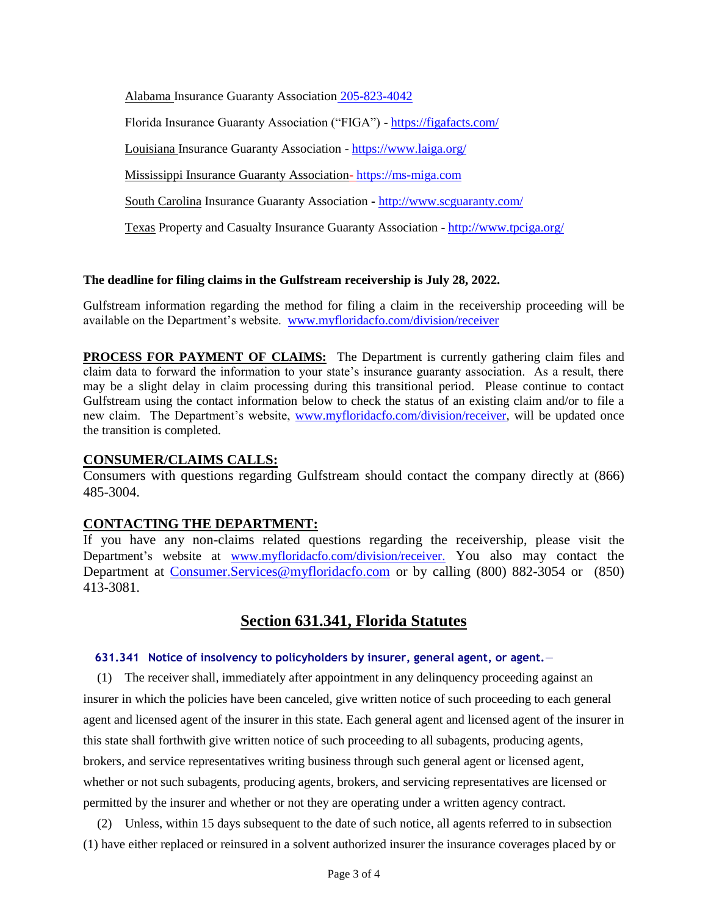Alabama Insurance Guaranty Association 205-823-4042

Florida Insurance Guaranty Association ("FIGA") - <https://figafacts.com/>

Louisiana Insurance Guaranty Association - <https://www.laiga.org/>

Mississippi Insurance Guaranty Association- [https://ms-miga.com](https://ms-miga.com/)

South Carolina Insurance Guaranty Association **-** <http://www.scguaranty.com/>

Texas Property and Casualty Insurance Guaranty Association - <http://www.tpciga.org/>

#### **The deadline for filing claims in the Gulfstream receivership is July 28, 2022.**

Gulfstream information regarding the method for filing a claim in the receivership proceeding will be available on the Department's website. [www.myfloridacfo.com/division/receiver](http://www.myfloridacfo.com/division/receiver)

**PROCESS FOR PAYMENT OF CLAIMS:** The Department is currently gathering claim files and claim data to forward the information to your state's insurance guaranty association. As a result, there may be a slight delay in claim processing during this transitional period. Please continue to contact Gulfstream using the contact information below to check the status of an existing claim and/or to file a new claim. The Department's website, [www.myfloridacfo.com/division/receiver,](http://www.myfloridacfo.com/division/receiver) will be updated once the transition is completed.

### **CONSUMER/CLAIMS CALLS:**

Consumers with questions regarding Gulfstream should contact the company directly at (866) 485-3004.

#### **CONTACTING THE DEPARTMENT:**

If you have any non-claims related questions regarding the receivership, please visit the Department's website at [www.myfloridacfo.com/division/receiver.](http://www.myfloridacfo.com/division/receiver) You also may contact the Department at [Consumer.Services@myfloridacfo.com](mailto:Consumer.Services@myfloridacfo.com) or by calling (800) 882-3054 or (850) 413-3081.

# **Section 631.341, Florida Statutes**

#### **631.341 Notice of insolvency to policyholders by insurer, general agent, or agent.**—

(1) The receiver shall, immediately after appointment in any delinquency proceeding against an insurer in which the policies have been canceled, give written notice of such proceeding to each general agent and licensed agent of the insurer in this state. Each general agent and licensed agent of the insurer in this state shall forthwith give written notice of such proceeding to all subagents, producing agents, brokers, and service representatives writing business through such general agent or licensed agent, whether or not such subagents, producing agents, brokers, and servicing representatives are licensed or permitted by the insurer and whether or not they are operating under a written agency contract.

(2) Unless, within 15 days subsequent to the date of such notice, all agents referred to in subsection (1) have either replaced or reinsured in a solvent authorized insurer the insurance coverages placed by or